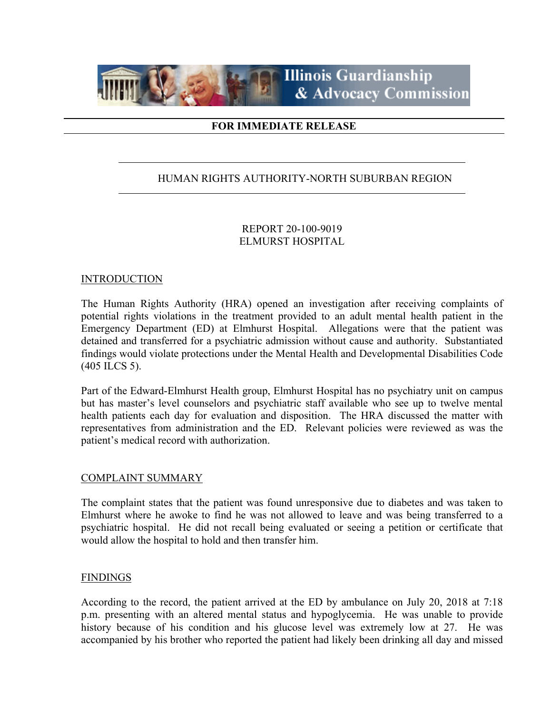

# **FOR IMMEDIATE RELEASE**

# HUMAN RIGHTS AUTHORITY-NORTH SUBURBAN REGION

### REPORT 20-100-9019 ELMURST HOSPITAL

### **INTRODUCTION**

The Human Rights Authority (HRA) opened an investigation after receiving complaints of potential rights violations in the treatment provided to an adult mental health patient in the Emergency Department (ED) at Elmhurst Hospital. Allegations were that the patient was detained and transferred for a psychiatric admission without cause and authority. Substantiated findings would violate protections under the Mental Health and Developmental Disabilities Code (405 ILCS 5).

Part of the Edward-Elmhurst Health group, Elmhurst Hospital has no psychiatry unit on campus but has master's level counselors and psychiatric staff available who see up to twelve mental health patients each day for evaluation and disposition. The HRA discussed the matter with representatives from administration and the ED. Relevant policies were reviewed as was the patient's medical record with authorization.

#### COMPLAINT SUMMARY

The complaint states that the patient was found unresponsive due to diabetes and was taken to Elmhurst where he awoke to find he was not allowed to leave and was being transferred to a psychiatric hospital. He did not recall being evaluated or seeing a petition or certificate that would allow the hospital to hold and then transfer him.

#### FINDINGS

According to the record, the patient arrived at the ED by ambulance on July 20, 2018 at 7:18 p.m. presenting with an altered mental status and hypoglycemia. He was unable to provide history because of his condition and his glucose level was extremely low at 27. He was accompanied by his brother who reported the patient had likely been drinking all day and missed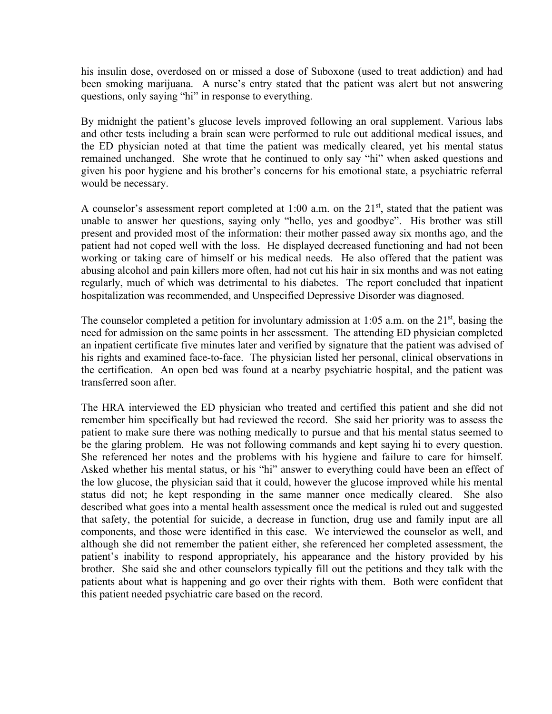his insulin dose, overdosed on or missed a dose of Suboxone (used to treat addiction) and had been smoking marijuana. A nurse's entry stated that the patient was alert but not answering questions, only saying "hi" in response to everything.

By midnight the patient's glucose levels improved following an oral supplement. Various labs and other tests including a brain scan were performed to rule out additional medical issues, and the ED physician noted at that time the patient was medically cleared, yet his mental status remained unchanged. She wrote that he continued to only say "hi" when asked questions and given his poor hygiene and his brother's concerns for his emotional state, a psychiatric referral would be necessary.

A counselor's assessment report completed at 1:00 a.m. on the  $21<sup>st</sup>$ , stated that the patient was unable to answer her questions, saying only "hello, yes and goodbye". His brother was still present and provided most of the information: their mother passed away six months ago, and the patient had not coped well with the loss. He displayed decreased functioning and had not been working or taking care of himself or his medical needs. He also offered that the patient was abusing alcohol and pain killers more often, had not cut his hair in six months and was not eating regularly, much of which was detrimental to his diabetes. The report concluded that inpatient hospitalization was recommended, and Unspecified Depressive Disorder was diagnosed.

The counselor completed a petition for involuntary admission at 1:05 a.m. on the  $21<sup>st</sup>$ , basing the need for admission on the same points in her assessment. The attending ED physician completed an inpatient certificate five minutes later and verified by signature that the patient was advised of his rights and examined face-to-face. The physician listed her personal, clinical observations in the certification. An open bed was found at a nearby psychiatric hospital, and the patient was transferred soon after.

The HRA interviewed the ED physician who treated and certified this patient and she did not remember him specifically but had reviewed the record. She said her priority was to assess the patient to make sure there was nothing medically to pursue and that his mental status seemed to be the glaring problem. He was not following commands and kept saying hi to every question. She referenced her notes and the problems with his hygiene and failure to care for himself. Asked whether his mental status, or his "hi" answer to everything could have been an effect of the low glucose, the physician said that it could, however the glucose improved while his mental status did not; he kept responding in the same manner once medically cleared. She also described what goes into a mental health assessment once the medical is ruled out and suggested that safety, the potential for suicide, a decrease in function, drug use and family input are all components, and those were identified in this case. We interviewed the counselor as well, and although she did not remember the patient either, she referenced her completed assessment, the patient's inability to respond appropriately, his appearance and the history provided by his brother. She said she and other counselors typically fill out the petitions and they talk with the patients about what is happening and go over their rights with them. Both were confident that this patient needed psychiatric care based on the record.